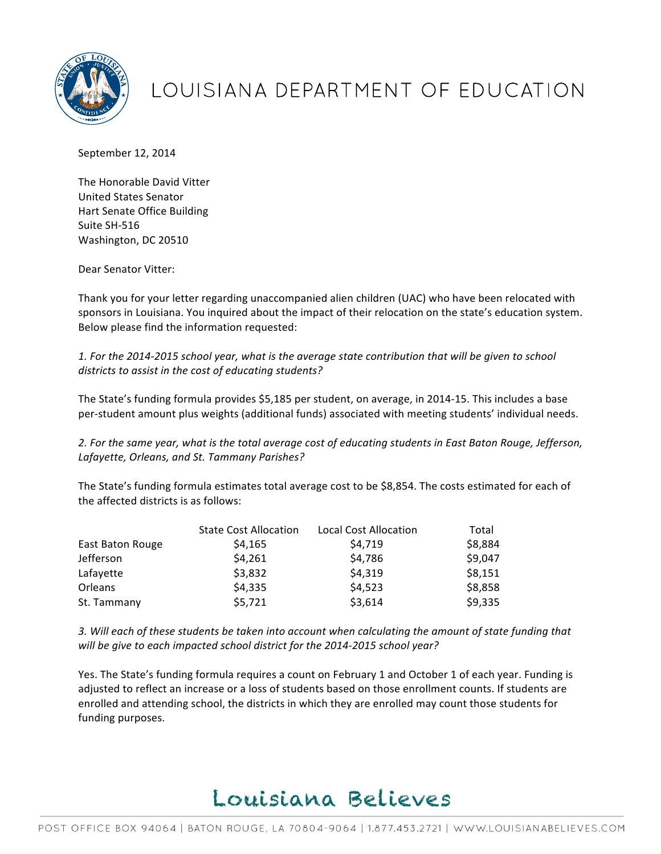

# LOUISIANA DEPARTMENT OF EDUCATION

September 12, 2014

The Honorable David Vitter United States Senator Hart Senate Office Building Suite SH-516 Washington, DC 20510

Dear Senator Vitter:

Thank you for your letter regarding unaccompanied alien children (UAC) who have been relocated with sponsors in Louisiana. You inquired about the impact of their relocation on the state's education system. Below please find the information requested:

1. For the 2014-2015 school year, what is the average state contribution that will be given to school districts to assist in the cost of educating students?

The State's funding formula provides \$5,185 per student, on average, in 2014-15. This includes a base per-student amount plus weights (additional funds) associated with meeting students' individual needs.

2. For the same year, what is the total average cost of educating students in East Baton Rouge, Jefferson, Lafayette, Orleans, and St. Tammany Parishes?

The State's funding formula estimates total average cost to be \$8,854. The costs estimated for each of the affected districts is as follows:

|                  | <b>State Cost Allocation</b> | <b>Local Cost Allocation</b> | Total   |
|------------------|------------------------------|------------------------------|---------|
| East Baton Rouge | \$4,165                      | \$4,719                      | \$8,884 |
| Jefferson        | \$4,261                      | \$4,786                      | \$9,047 |
| Lafayette        | \$3,832                      | \$4,319                      | \$8,151 |
| <b>Orleans</b>   | \$4,335                      | \$4,523                      | \$8,858 |
| St. Tammany      | \$5,721                      | \$3,614                      | \$9,335 |

3. Will each of these students be taken into account when calculating the amount of state funding that will be give to each impacted school district for the 2014-2015 school year?

Yes. The State's funding formula requires a count on February 1 and October 1 of each year. Funding is adjusted to reflect an increase or a loss of students based on those enrollment counts. If students are enrolled and attending school, the districts in which they are enrolled may count those students for funding purposes.

# Louisiana Believes